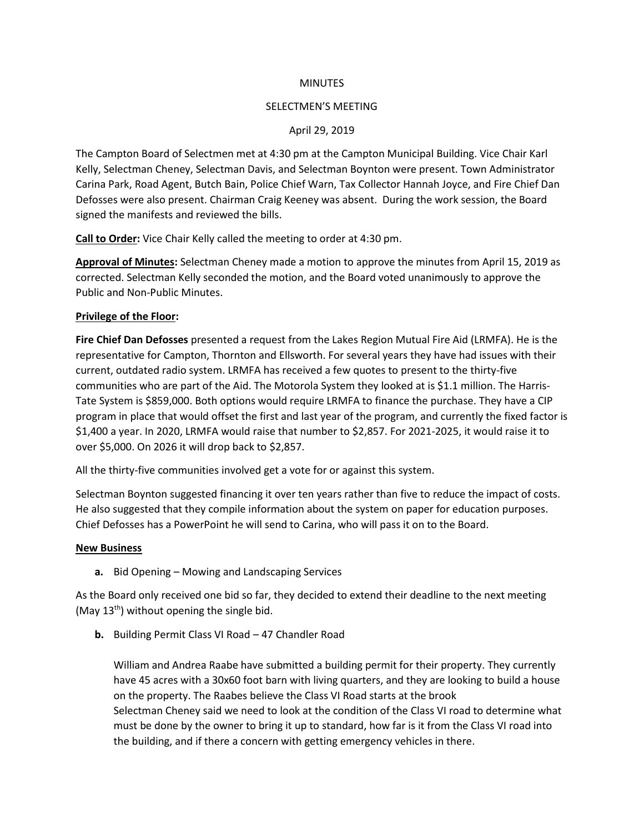#### **MINUTES**

#### SELECTMEN'S MEETING

#### April 29, 2019

The Campton Board of Selectmen met at 4:30 pm at the Campton Municipal Building. Vice Chair Karl Kelly, Selectman Cheney, Selectman Davis, and Selectman Boynton were present. Town Administrator Carina Park, Road Agent, Butch Bain, Police Chief Warn, Tax Collector Hannah Joyce, and Fire Chief Dan Defosses were also present. Chairman Craig Keeney was absent. During the work session, the Board signed the manifests and reviewed the bills.

**Call to Order:** Vice Chair Kelly called the meeting to order at 4:30 pm.

**Approval of Minutes:** Selectman Cheney made a motion to approve the minutes from April 15, 2019 as corrected. Selectman Kelly seconded the motion, and the Board voted unanimously to approve the Public and Non-Public Minutes.

### **Privilege of the Floor:**

**Fire Chief Dan Defosses** presented a request from the Lakes Region Mutual Fire Aid (LRMFA). He is the representative for Campton, Thornton and Ellsworth. For several years they have had issues with their current, outdated radio system. LRMFA has received a few quotes to present to the thirty-five communities who are part of the Aid. The Motorola System they looked at is \$1.1 million. The Harris-Tate System is \$859,000. Both options would require LRMFA to finance the purchase. They have a CIP program in place that would offset the first and last year of the program, and currently the fixed factor is \$1,400 a year. In 2020, LRMFA would raise that number to \$2,857. For 2021-2025, it would raise it to over \$5,000. On 2026 it will drop back to \$2,857.

All the thirty-five communities involved get a vote for or against this system.

Selectman Boynton suggested financing it over ten years rather than five to reduce the impact of costs. He also suggested that they compile information about the system on paper for education purposes. Chief Defosses has a PowerPoint he will send to Carina, who will pass it on to the Board.

#### **New Business**

**a.** Bid Opening – Mowing and Landscaping Services

As the Board only received one bid so far, they decided to extend their deadline to the next meeting (May  $13<sup>th</sup>$ ) without opening the single bid.

**b.** Building Permit Class VI Road – 47 Chandler Road

William and Andrea Raabe have submitted a building permit for their property. They currently have 45 acres with a 30x60 foot barn with living quarters, and they are looking to build a house on the property. The Raabes believe the Class VI Road starts at the brook Selectman Cheney said we need to look at the condition of the Class VI road to determine what must be done by the owner to bring it up to standard, how far is it from the Class VI road into the building, and if there a concern with getting emergency vehicles in there.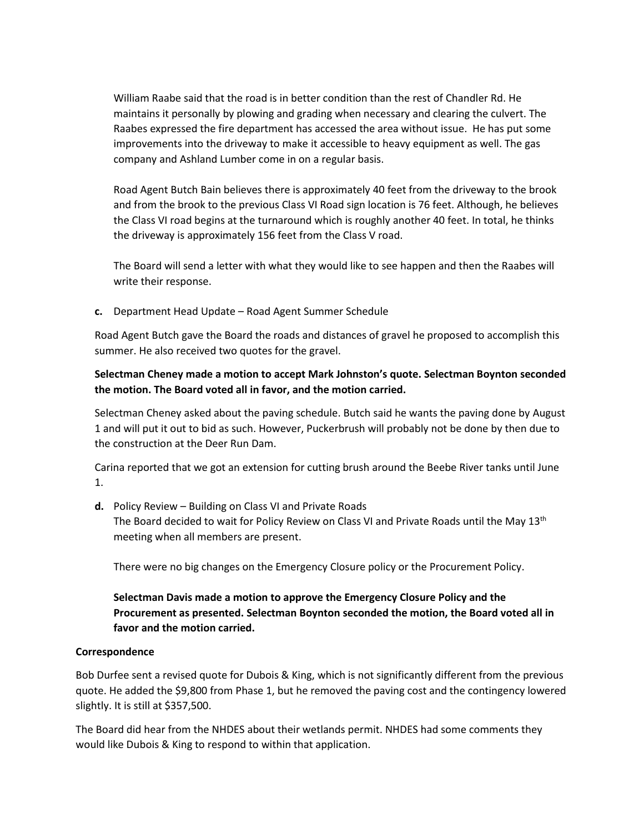William Raabe said that the road is in better condition than the rest of Chandler Rd. He maintains it personally by plowing and grading when necessary and clearing the culvert. The Raabes expressed the fire department has accessed the area without issue. He has put some improvements into the driveway to make it accessible to heavy equipment as well. The gas company and Ashland Lumber come in on a regular basis.

Road Agent Butch Bain believes there is approximately 40 feet from the driveway to the brook and from the brook to the previous Class VI Road sign location is 76 feet. Although, he believes the Class VI road begins at the turnaround which is roughly another 40 feet. In total, he thinks the driveway is approximately 156 feet from the Class V road.

The Board will send a letter with what they would like to see happen and then the Raabes will write their response.

**c.** Department Head Update – Road Agent Summer Schedule

Road Agent Butch gave the Board the roads and distances of gravel he proposed to accomplish this summer. He also received two quotes for the gravel.

## **Selectman Cheney made a motion to accept Mark Johnston's quote. Selectman Boynton seconded the motion. The Board voted all in favor, and the motion carried.**

Selectman Cheney asked about the paving schedule. Butch said he wants the paving done by August 1 and will put it out to bid as such. However, Puckerbrush will probably not be done by then due to the construction at the Deer Run Dam.

Carina reported that we got an extension for cutting brush around the Beebe River tanks until June 1.

**d.** Policy Review – Building on Class VI and Private Roads The Board decided to wait for Policy Review on Class VI and Private Roads until the May 13<sup>th</sup> meeting when all members are present.

There were no big changes on the Emergency Closure policy or the Procurement Policy.

# **Selectman Davis made a motion to approve the Emergency Closure Policy and the Procurement as presented. Selectman Boynton seconded the motion, the Board voted all in favor and the motion carried.**

## **Correspondence**

Bob Durfee sent a revised quote for Dubois & King, which is not significantly different from the previous quote. He added the \$9,800 from Phase 1, but he removed the paving cost and the contingency lowered slightly. It is still at \$357,500.

The Board did hear from the NHDES about their wetlands permit. NHDES had some comments they would like Dubois & King to respond to within that application.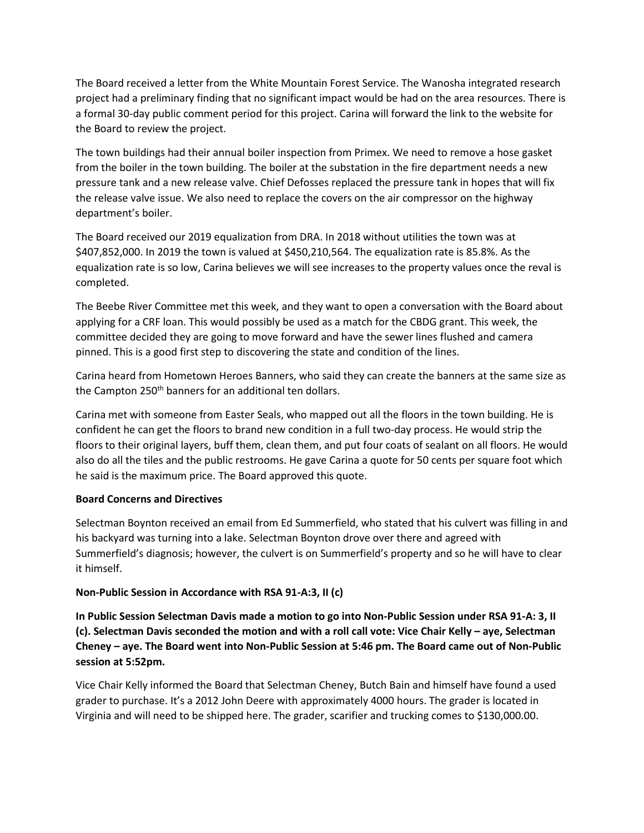The Board received a letter from the White Mountain Forest Service. The Wanosha integrated research project had a preliminary finding that no significant impact would be had on the area resources. There is a formal 30-day public comment period for this project. Carina will forward the link to the website for the Board to review the project.

The town buildings had their annual boiler inspection from Primex. We need to remove a hose gasket from the boiler in the town building. The boiler at the substation in the fire department needs a new pressure tank and a new release valve. Chief Defosses replaced the pressure tank in hopes that will fix the release valve issue. We also need to replace the covers on the air compressor on the highway department's boiler.

The Board received our 2019 equalization from DRA. In 2018 without utilities the town was at \$407,852,000. In 2019 the town is valued at \$450,210,564. The equalization rate is 85.8%. As the equalization rate is so low, Carina believes we will see increases to the property values once the reval is completed.

The Beebe River Committee met this week, and they want to open a conversation with the Board about applying for a CRF loan. This would possibly be used as a match for the CBDG grant. This week, the committee decided they are going to move forward and have the sewer lines flushed and camera pinned. This is a good first step to discovering the state and condition of the lines.

Carina heard from Hometown Heroes Banners, who said they can create the banners at the same size as the Campton  $250<sup>th</sup>$  banners for an additional ten dollars.

Carina met with someone from Easter Seals, who mapped out all the floors in the town building. He is confident he can get the floors to brand new condition in a full two-day process. He would strip the floors to their original layers, buff them, clean them, and put four coats of sealant on all floors. He would also do all the tiles and the public restrooms. He gave Carina a quote for 50 cents per square foot which he said is the maximum price. The Board approved this quote.

## **Board Concerns and Directives**

Selectman Boynton received an email from Ed Summerfield, who stated that his culvert was filling in and his backyard was turning into a lake. Selectman Boynton drove over there and agreed with Summerfield's diagnosis; however, the culvert is on Summerfield's property and so he will have to clear it himself.

## **Non-Public Session in Accordance with RSA 91-A:3, II (c)**

**In Public Session Selectman Davis made a motion to go into Non-Public Session under RSA 91-A: 3, II (c). Selectman Davis seconded the motion and with a roll call vote: Vice Chair Kelly – aye, Selectman Cheney – aye. The Board went into Non-Public Session at 5:46 pm. The Board came out of Non-Public session at 5:52pm.** 

Vice Chair Kelly informed the Board that Selectman Cheney, Butch Bain and himself have found a used grader to purchase. It's a 2012 John Deere with approximately 4000 hours. The grader is located in Virginia and will need to be shipped here. The grader, scarifier and trucking comes to \$130,000.00.